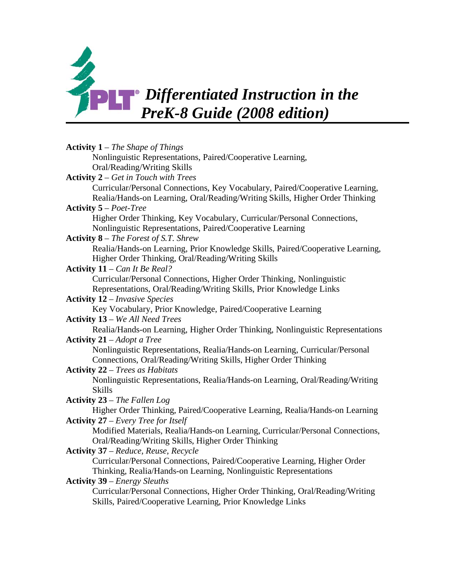

| <b>Activity 1</b> – The Shape of Things                                                                                 |
|-------------------------------------------------------------------------------------------------------------------------|
| Nonlinguistic Representations, Paired/Cooperative Learning,                                                             |
| Oral/Reading/Writing Skills                                                                                             |
| <b>Activity 2</b> – Get in Touch with Trees                                                                             |
| Curricular/Personal Connections, Key Vocabulary, Paired/Cooperative Learning,                                           |
| Realia/Hands-on Learning, Oral/Reading/Writing Skills, Higher Order Thinking                                            |
| <b>Activity 5</b> – <i>Poet-Tree</i>                                                                                    |
| Higher Order Thinking, Key Vocabulary, Curricular/Personal Connections,                                                 |
| Nonlinguistic Representations, Paired/Cooperative Learning                                                              |
| <b>Activity 8</b> – The Forest of S.T. Shrew                                                                            |
| Realia/Hands-on Learning, Prior Knowledge Skills, Paired/Cooperative Learning,                                          |
| Higher Order Thinking, Oral/Reading/Writing Skills                                                                      |
| Activity $11 - Can$ It Be Real?                                                                                         |
| Curricular/Personal Connections, Higher Order Thinking, Nonlinguistic                                                   |
| Representations, Oral/Reading/Writing Skills, Prior Knowledge Links                                                     |
| <b>Activity 12</b> – Invasive Species                                                                                   |
| Key Vocabulary, Prior Knowledge, Paired/Cooperative Learning                                                            |
| <b>Activity 13</b> – We All Need Trees                                                                                  |
| Realia/Hands-on Learning, Higher Order Thinking, Nonlinguistic Representations                                          |
| <b>Activity 21</b> – Adopt a Tree                                                                                       |
| Nonlinguistic Representations, Realia/Hands-on Learning, Curricular/Personal                                            |
| Connections, Oral/Reading/Writing Skills, Higher Order Thinking                                                         |
| <b>Activity 22 – Trees as Habitats</b><br>Nonlinguistic Representations, Realia/Hands-on Learning, Oral/Reading/Writing |
| <b>Skills</b>                                                                                                           |
| Activity 23 - The Fallen Log                                                                                            |
| Higher Order Thinking, Paired/Cooperative Learning, Realia/Hands-on Learning                                            |
| <b>Activity 27</b> – Every Tree for Itself                                                                              |
| Modified Materials, Realia/Hands-on Learning, Curricular/Personal Connections,                                          |
| Oral/Reading/Writing Skills, Higher Order Thinking                                                                      |
| <b>Activity 37</b> – Reduce, Reuse, Recycle                                                                             |
| Curricular/Personal Connections, Paired/Cooperative Learning, Higher Order                                              |
| Thinking, Realia/Hands-on Learning, Nonlinguistic Representations                                                       |
| <b>Activity 39</b> – Energy Sleuths                                                                                     |
| Curricular/Personal Connections, Higher Order Thinking, Oral/Reading/Writing                                            |
| Skills, Paired/Cooperative Learning, Prior Knowledge Links                                                              |
|                                                                                                                         |